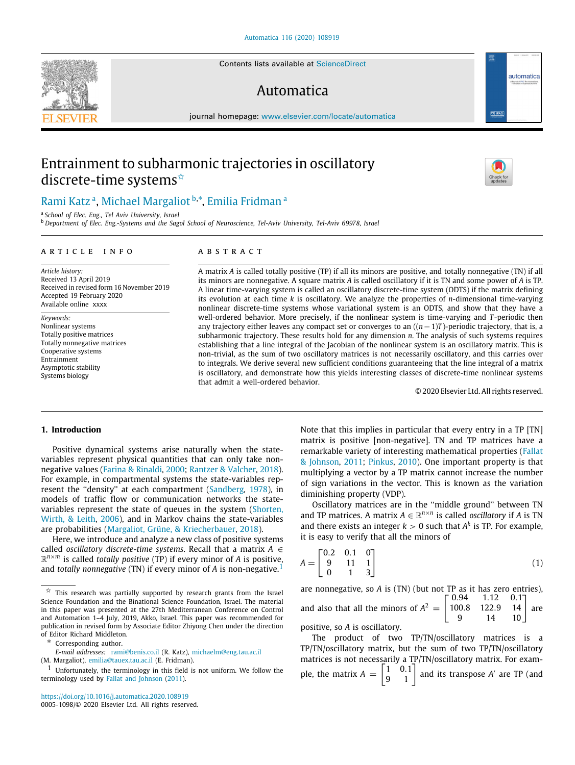Contents lists available at [ScienceDirect](http://www.elsevier.com/locate/automatica)

# Automatica

journal homepage: [www.elsevier.com/locate/automatica](http://www.elsevier.com/locate/automatica)

# Entrainment to subharmonic trajectories in oscillatory discrete-time systems<sup>☆</sup>



<span id="page-0-1"></span>a *School of Elec. Eng., Tel Aviv University, Israel*

<span id="page-0-2"></span><sup>b</sup> *Department of Elec. Eng.-Systems and the Sagol School of Neuroscience, Tel-Aviv University, Tel-Aviv 69978, Israel*

## ARTICLE INFO

*Article history:* Received 13 April 2019 Received in revised form 16 November 2019 Accepted 19 February 2020 Available online xxxx

*Keywords:* Nonlinear systems Totally positive matrices Totally nonnegative matrices Cooperative systems Entrainment Asymptotic stability Systems biology

# a b s t r a c t

A matrix *A* is called totally positive (TP) if all its minors are positive, and totally nonnegative (TN) if all its minors are nonnegative. A square matrix *A* is called oscillatory if it is TN and some power of *A* is TP. A linear time-varying system is called an oscillatory discrete-time system (ODTS) if the matrix defining its evolution at each time *k* is oscillatory. We analyze the properties of *n*-dimensional time-varying nonlinear discrete-time systems whose variational system is an ODTS, and show that they have a well-ordered behavior. More precisely, if the nonlinear system is time-varying and *T* -periodic then any trajectory either leaves any compact set or converges to an ((*n*−1)*T* )-periodic trajectory, that is, a subharmonic trajectory. These results hold for any dimension *n*. The analysis of such systems requires establishing that a line integral of the Jacobian of the nonlinear system is an oscillatory matrix. This is non-trivial, as the sum of two oscillatory matrices is not necessarily oscillatory, and this carries over to integrals. We derive several new sufficient conditions guaranteeing that the line integral of a matrix is oscillatory, and demonstrate how this yields interesting classes of discrete-time nonlinear systems that admit a well-ordered behavior.

© 2020 Elsevier Ltd. All rights reserved.

# **1. Introduction**

Positive dynamical systems arise naturally when the statevariables represent physical quantities that can only take nonnegative values [\(Farina & Rinaldi,](#page-8-0) [2000](#page-8-0); [Rantzer & Valcher](#page-8-1), [2018\)](#page-8-1). For example, in compartmental systems the state-variables rep-resent the "density" at each compartment [\(Sandberg,](#page-9-3) [1978](#page-9-3)), in models of traffic flow or communication networks the statevariables represent the state of queues in the system ([Shorten,](#page-9-4) [Wirth, & Leith,](#page-9-4) [2006\)](#page-9-4), and in Markov chains the state-variables are probabilities [\(Margaliot, Grüne, & Kriecherbauer,](#page-8-2) [2018\)](#page-8-2).

Here, we introduce and analyze a new class of positive systems called *oscillatory discrete-time systems*. Recall that a matrix *A* ∈ R *<sup>n</sup>*×*<sup>m</sup>* is called *totally positive* (TP) if every minor of *A* is positive, and *totally nonnegative* (TN) if every minor of *A* is non-negative.[1](#page-0-4)

*E-mail addresses:* [rami@benis.co.il](mailto:rami@benis.co.il) (R. Katz), [michaelm@eng.tau.ac.il](mailto:michaelm@eng.tau.ac.il)

(M. Margaliot), [emilia@tauex.tau.ac.il](mailto:emilia@tauex.tau.ac.il) (E. Fridman).

<https://doi.org/10.1016/j.automatica.2020.108919> 0005-1098/© 2020 Elsevier Ltd. All rights reserved. Note that this implies in particular that every entry in a TP [TN] matrix is positive [non-negative]. TN and TP matrices have a remarkable variety of interesting mathematical properties ([Fallat](#page-8-3) [& Johnson](#page-8-3), [2011;](#page-8-3) [Pinkus](#page-8-4), [2010\)](#page-8-4). One important property is that multiplying a vector by a TP matrix cannot increase the number of sign variations in the vector. This is known as the variation diminishing property (VDP).

Oscillatory matrices are in the ''middle ground'' between TN and TP matrices. A matrix  $A \in \mathbb{R}^{n \times n}$  is called *oscillatory* if *A* is TN and there exists an integer  $k > 0$  such that  $A^k$  is TP. For example, it is easy to verify that all the minors of

$$
A = \begin{bmatrix} 0.2 & 0.1 & 0 \\ 9 & 11 & 1 \\ 0 & 1 & 3 \end{bmatrix} \tag{1}
$$

<span id="page-0-4"></span>are nonnegative, so *A* is (TN) (but not TP as it has zero entries), and also that all the minors of  $A^2 =$  $\begin{bmatrix} 0.94 & 1.12 & 0.1 \end{bmatrix}$ 100.8 122.9 14 9 14 10] are positive, so *A* is oscillatory.

The product of two TP/TN/oscillatory matrices is a TP/TN/oscillatory matrix, but the sum of two TP/TN/oscillatory matrices is not necessarily a TP/TN/oscillatory matrix. For example, the matrix  $A = \begin{bmatrix} 1 & 0.1 \\ 9 & 1 \end{bmatrix}$  and its transpose *A'* are TP (and





automatica

<span id="page-0-0"></span> $\overrightarrow{x}$  This research was partially supported by research grants from the Israel Science Foundation and the Binational Science Foundation, Israel. The material in this paper was presented at the 27th Mediterranean Conference on Control and Automation 1–4 July, 2019, Akko, Israel. This paper was recommended for publication in revised form by Associate Editor Zhiyong Chen under the direction of Editor Richard Middleton.

<span id="page-0-3"></span>Corresponding author.

 $1$  Unfortunately, the terminology in this field is not uniform. We follow the terminology used by [Fallat and Johnson](#page-8-3) ([2011](#page-8-3)).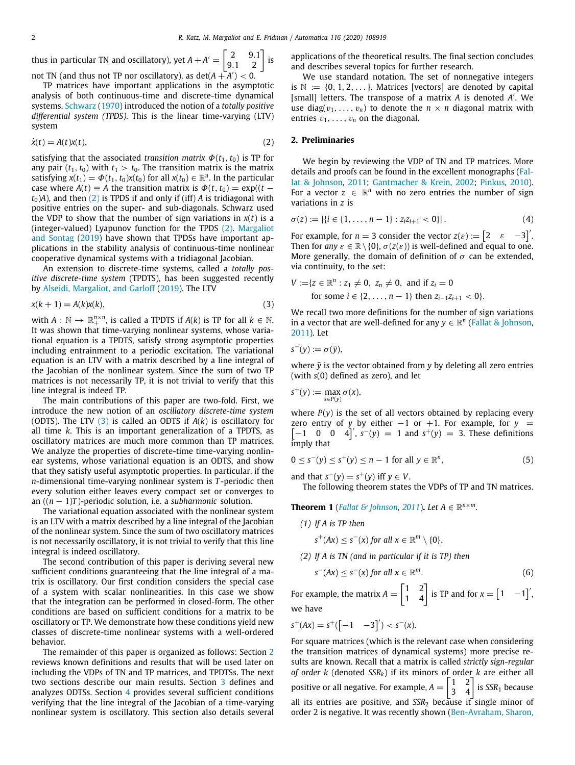thus in particular TN and oscillatory), yet  $A + A' = \begin{bmatrix} 2 & 9.1 \\ 9.1 & 2 \end{bmatrix}$  is not TN (and thus not TP nor oscillatory), as  $\det(A + A') < 0$ . ′

TP matrices have important applications in the asymptotic analysis of both continuous-time and discrete-time dynamical systems. [Schwarz](#page-9-5) ([1970\)](#page-9-5) introduced the notion of a *totally positive differential system (TPDS)*. This is the linear time-varying (LTV) system

$$
\dot{x}(t) = A(t)x(t),\tag{2}
$$

satisfying that the associated *transition matrix*  $\Phi(t_1, t_0)$  is TP for any pair  $(t_1, t_0)$  with  $t_1 > t_0$ . The transition matrix is the matrix satisfying  $x(t_1) = \Phi(t_1, t_0)x(t_0)$  for all  $x(t_0) \in \mathbb{R}^n$ . In the particular case where  $A(t) \equiv A$  the transition matrix is  $\Phi(t, t_0) = \exp((t$  $t_0$ )*A*), and then [\(2](#page-1-0)) is TPDS if and only if (iff) *A* is tridiagonal with positive entries on the super- and sub-diagonals. Schwarz used the VDP to show that the number of sign variations in *x*(*t*) is a (integer-valued) Lyapunov function for the TPDS [\(2\)](#page-1-0). [Margaliot](#page-8-5) [and Sontag](#page-8-5) [\(2019\)](#page-8-5) have shown that TPDSs have important applications in the stability analysis of continuous-time nonlinear cooperative dynamical systems with a tridiagonal Jacobian.

An extension to discrete-time systems, called a *totally positive discrete-time system* (TPDTS), has been suggested recently by [Alseidi, Margaliot, and Garloff](#page-8-6) [\(2019](#page-8-6)). The LTV

$$
x(k+1) = A(k)x(k),\tag{3}
$$

with  $A: \mathbb{N} \to \mathbb{R}^{n \times n}_+$ , is called a TPDTS if  $A(k)$  is TP for all  $k \in \mathbb{N}$ . It was shown that time-varying nonlinear systems, whose variational equation is a TPDTS, satisfy strong asymptotic properties including entrainment to a periodic excitation. The variational equation is an LTV with a matrix described by a line integral of the Jacobian of the nonlinear system. Since the sum of two TP matrices is not necessarily TP, it is not trivial to verify that this line integral is indeed TP.

The main contributions of this paper are two-fold. First, we introduce the new notion of an *oscillatory discrete-time system* (ODTS). The LTV ([3](#page-1-1)) is called an ODTS if *A*(*k*) is oscillatory for all time *k*. This is an important generalization of a TPDTS, as oscillatory matrices are much more common than TP matrices. We analyze the properties of discrete-time time-varying nonlinear systems, whose variational equation is an ODTS, and show that they satisfy useful asymptotic properties. In particular, if the *n*-dimensional time-varying nonlinear system is *T* -periodic then every solution either leaves every compact set or converges to an ((*n* − 1)*T* )-periodic solution, i.e. a *subharmonic* solution.

The variational equation associated with the nonlinear system is an LTV with a matrix described by a line integral of the Jacobian of the nonlinear system. Since the sum of two oscillatory matrices is not necessarily oscillatory, it is not trivial to verify that this line integral is indeed oscillatory.

The second contribution of this paper is deriving several new sufficient conditions guaranteeing that the line integral of a matrix is oscillatory. Our first condition considers the special case of a system with scalar nonlinearities. In this case we show that the integration can be performed in closed-form. The other conditions are based on sufficient conditions for a matrix to be oscillatory or TP. We demonstrate how these conditions yield new classes of discrete-time nonlinear systems with a well-ordered behavior.

The remainder of this paper is organized as follows: Section [2](#page-1-2) reviews known definitions and results that will be used later on including the VDPs of TN and TP matrices, and TPDTSs. The next two sections describe our main results. Section [3](#page-3-0) defines and analyzes ODTSs. Section [4](#page-4-0) provides several sufficient conditions verifying that the line integral of the Jacobian of a time-varying nonlinear system is oscillatory. This section also details several

applications of the theoretical results. The final section concludes and describes several topics for further research.

We use standard notation. The set of nonnegative integers is  $\mathbb{N} := \{0, 1, 2, \ldots\}$ . Matrices [vectors] are denoted by capital [small] letters. The transpose of a matrix *A* is denoted *A* ′ . We use diag( $v_1, \ldots, v_n$ ) to denote the  $n \times n$  diagonal matrix with entries  $v_1, \ldots, v_n$  on the diagonal.

# <span id="page-1-0"></span>**2. Preliminaries**

<span id="page-1-2"></span>We begin by reviewing the VDP of TN and TP matrices. More details and proofs can be found in the excellent monographs [\(Fal](#page-8-3)[lat & Johnson](#page-8-3), [2011;](#page-8-3) [Gantmacher & Krein,](#page-8-7) [2002](#page-8-7); [Pinkus](#page-8-4), [2010\)](#page-8-4). For a vector  $z \in \mathbb{R}^n$  with no zero entries the number of sign variations in *z* is

$$
\sigma(z) := |\{i \in \{1, \ldots, n-1\} : z_i z_{i+1} < 0\}|\,. \tag{4}
$$

For example, for  $n = 3$  consider the vector  $z(\varepsilon) := \begin{bmatrix} 2 & \varepsilon & -3 \end{bmatrix}$ . Then for *any*  $\varepsilon \in \mathbb{R} \setminus \{0\}$ ,  $\sigma(z(\varepsilon))$  is well-defined and equal to one. More generally, the domain of definition of  $\sigma$  can be extended, via continuity, to the set:

$$
V := \{ z \in \mathbb{R}^n : z_1 \neq 0, \ z_n \neq 0, \text{ and if } z_i = 0
$$
  
for some  $i \in \{2, ..., n - 1\}$  then  $z_{i-1}z_{i+1} < 0\}.$ 

<span id="page-1-1"></span>We recall two more definitions for the number of sign variations in a vector that are well-defined for any  $y \in \mathbb{R}^n$  ([Fallat & Johnson,](#page-8-3) [2011\)](#page-8-3). Let

$$
s^-(y) := \sigma(\bar{y}),
$$

where  $\bar{y}$  is the vector obtained from  $y$  by deleting all zero entries (with *s*(0) defined as zero), and let

$$
s^+(y) := \max_{x \in P(y)} \sigma(x),
$$

where  $P(y)$  is the set of all vectors obtained by replacing every [ zero entry of *y* by either −1 or +1. For example, for *y* =  $[-1 \ 0 \ 0 \ 4]^T$ ,  $s^-(y) = 1$  and  $s^+(y) = 3$ . These definitions imply that

$$
0 \leq s^-(y) \leq s^+(y) \leq n-1 \text{ for all } y \in \mathbb{R}^n,
$$
 (5)

and that  $s^-(y) = s^+(y)$  iff  $y \in V$ .

<span id="page-1-3"></span>The following theorem states the VDPs of TP and TN matrices.

**Theorem 1** (*[Fallat & Johnson](#page-8-3), [2011](#page-8-3)*). *Let*  $A \in \mathbb{R}^{n \times m}$ .

- *(1) If A is TP then*
	- $s^+(Ax) \leq s^-(x)$  *for all*  $x \in \mathbb{R}^m \setminus \{0\},$
- *(2) If A is TN (and in particular if it is TP) then*

<span id="page-1-4"></span>
$$
s^-(Ax) \leq s^-(x) \text{ for all } x \in \mathbb{R}^m. \tag{6}
$$

For example, the matrix  $A = \begin{bmatrix} 1 & 2 \\ 1 & 4 \end{bmatrix}$  is TP and for  $x = \begin{bmatrix} 1 & -1 \end{bmatrix}$ , we have

$$
s^+(Ax) = s^+([-1 \ -3]') < s^-(x).
$$

For square matrices (which is the relevant case when considering the transition matrices of dynamical systems) more precise results are known. Recall that a matrix is called *strictly sign-regular of order k* (denoted *SSRk*) if its minors of order *k* are either all positive or all negative. For example,  $A = \begin{bmatrix} 1 & 2 \\ 3 & 4 \end{bmatrix}$  is *SSR*<sub>1</sub> because all its entries are positive, and *SSR*<sup>2</sup> because it single minor of order 2 is negative. It was recently shown [\(Ben-Avraham, Sharon,](#page-8-8)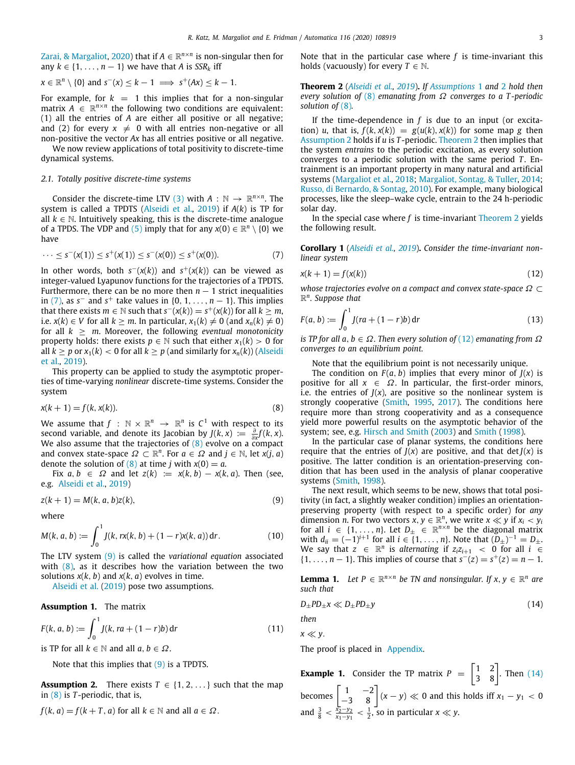[Zarai, & Margaliot](#page-8-8), [2020\)](#page-8-8) that if  $A \in \mathbb{R}^{n \times n}$  is non-singular then for any  $k \in \{1, \ldots, n-1\}$  we have that *A* is  $SSR_k$  iff

$$
x \in \mathbb{R}^n \setminus \{0\} \text{ and } s^-(x) \leq k - 1 \implies s^+(Ax) \leq k - 1.
$$

For example, for  $k = 1$  this implies that for a non-singular matrix  $A \in \mathbb{R}^{n \times n}$  the following two conditions are equivalent: (1) all the entries of *A* are either all positive or all negative; and (2) for every  $x \neq 0$  with all entries non-negative or all non-positive the vector *Ax* has all entries positive or all negative.

We now review applications of total positivity to discrete-time dynamical systems.

# *2.1. Totally positive discrete-time systems*

Consider the discrete-time LTV ([3](#page-1-1)) with  $A : \mathbb{N} \to \mathbb{R}^{n \times n}$ . The system is called a TPDTS [\(Alseidi et al.](#page-8-6), [2019](#page-8-6)) if *A*(*k*) is TP for all  $k \in \mathbb{N}$ . Intuitively speaking, this is the discrete-time analogue of a TPDS. The VDP and  $(5)$  $(5)$  imply that for any  $x(0) \in \mathbb{R}^n \setminus \{0\}$  we have

$$
\cdots \leq s^-(x(1)) \leq s^+(x(1)) \leq s^-(x(0)) \leq s^+(x(0)). \tag{7}
$$

In other words, both  $s^-(x(k))$  and  $s^+(x(k))$  can be viewed as integer-valued Lyapunov functions for the trajectories of a TPDTS. Furthermore, there can be no more then  $n - 1$  strict inequalities in [\(7\)](#page-2-0), as  $s^-$  and  $s^+$  take values in  $\{0, 1, \ldots, n-1\}$ . This implies that there exists  $m \in \mathbb{N}$  such that  $s^-(x(k)) = s^+(x(k))$  for all  $k \geq m$ , i.e. *x*(*k*) ∈ *V* for all *k* ≥ *m*. In particular,  $x_1(k) \neq 0$  (and  $x_n(k) \neq 0$ ) for all  $k > m$ . Moreover, the following *eventual monotonicity* property holds: there exists  $p \in \mathbb{N}$  such that either  $x_1(k) > 0$  for all  $k \geq p$  or  $x_1(k) < 0$  for all  $k \geq p$  (and similarly for  $x_n(k)$ ) ([Alseidi](#page-8-6) [et al.](#page-8-6), [2019](#page-8-6)).

This property can be applied to study the asymptotic properties of time-varying *nonlinear* discrete-time systems. Consider the system

$$
x(k+1) = f(k, x(k)).\tag{8}
$$

We assume that  $f$  :  $\mathbb{N} \times \mathbb{R}^n \to \mathbb{R}^n$  is  $C^1$  with respect to its second variable, and denote its Jacobian by *J*(*k*, *x*) :=  $\frac{\partial}{\partial x} f(k, x)$ . We also assume that the trajectories of  $(8)$  evolve on a compact and convex state-space  $\Omega \subset \mathbb{R}^n$ . For  $a \in \Omega$  and  $j \in \mathbb{N}$ , let  $x(j, a)$ denote the solution of  $(8)$  at time *j* with  $x(0) = a$ .

Fix  $a, b \in \Omega$  and let  $z(k) := x(k, b) - x(k, a)$ . Then (see, e.g. [Alseidi et al.](#page-8-6), [2019](#page-8-6))

$$
z(k+1) = M(k, a, b)z(k),\tag{9}
$$

where

$$
M(k, a, b) := \int_0^1 J(k, rx(k, b) + (1 - r)x(k, a)) dr.
$$
 (10)

The LTV system ([9](#page-2-2)) is called the *variational equation* associated with [\(8\)](#page-2-1), as it describes how the variation between the two solutions  $x(k, b)$  and  $x(k, a)$  evolves in time.

[Alseidi et al.](#page-8-6) ([2019](#page-8-6)) pose two assumptions.

**Assumption 1.** The matrix

$$
F(k, a, b) := \int_0^1 J(k, ra + (1 - r)b) dr
$$
 (11)

is TP for all  $k \in \mathbb{N}$  and all  $a, b \in \Omega$ .

Note that this implies that  $(9)$  is a TPDTS.

<span id="page-2-4"></span>**Assumption 2.** There exists  $T \in \{1, 2, \ldots\}$  such that the map in ([8\)](#page-2-1) is *T* -periodic, that is,

$$
f(k, a) = f(k + T, a)
$$
 for all  $k \in \mathbb{N}$  and all  $a \in \Omega$ .

Note that in the particular case where *f* is time-invariant this holds (vacuously) for every  $T \in \mathbb{N}$ .

<span id="page-2-5"></span>**Theorem 2** (*[Alseidi et al.,](#page-8-6) [2019](#page-8-6)*)**.** *If [Assumptions](#page-2-3)* [1](#page-2-3) *and* [2](#page-2-4) *hold then every solution of* ([8](#page-2-1)) *emanating from* Ω *converges to a T -periodic solution of* [\(8](#page-2-1))*.*

If the time-dependence in *f* is due to an input (or excitation) *u*, that is,  $f(k, x(k)) = g(u(k), x(k))$  for some map *g* then [Assumption](#page-2-4) [2](#page-2-4) holds if *u* is *T* -periodic. [Theorem](#page-2-5) [2](#page-2-5) then implies that the system *entrains* to the periodic excitation, as every solution converges to a periodic solution with the same period *T*. Entrainment is an important property in many natural and artificial systems ([Margaliot et al.,](#page-8-2) [2018;](#page-8-2) [Margaliot, Sontag, & Tuller](#page-8-9), [2014;](#page-8-9) [Russo, di Bernardo, & Sontag](#page-9-6), [2010\)](#page-9-6). For example, many biological processes, like the sleep–wake cycle, entrain to the 24 h-periodic solar day.

In the special case where *f* is time-invariant [Theorem](#page-2-5) [2](#page-2-5) yields the following result.

<span id="page-2-9"></span><span id="page-2-0"></span>**Corollary 1** (*[Alseidi et al.,](#page-8-6) [2019](#page-8-6)*)**.** *Consider the time-invariant nonlinear system*

<span id="page-2-6"></span>
$$
x(k+1) = f(x(k))\tag{12}
$$

*whose trajectories evolve on a compact and convex state-space* Ω ⊂ R *n . Suppose that*

$$
F(a, b) := \int_0^1 J(r a + (1 - r) b) dr
$$
 (13)

*is TP for all a*, *b* ∈ Ω*. Then every solution of* [\(12\)](#page-2-6) *emanating from* Ω *converges to an equilibrium point.*

<span id="page-2-11"></span>Note that the equilibrium point is not necessarily unique.

<span id="page-2-1"></span>The condition on  $F(a, b)$  implies that every minor of  $J(x)$  is positive for all  $x \in \Omega$ . In particular, the first-order minors, i.e. the entries of  $J(x)$ , are positive so the nonlinear system is strongly cooperative ([Smith](#page-9-7), [1995,](#page-9-7) [2017](#page-9-8)). The conditions here require more than strong cooperativity and as a consequence yield more powerful results on the asymptotic behavior of the system; see, e.g. [Hirsch and Smith](#page-8-10) ([2003](#page-8-10)) and [Smith](#page-9-9) [\(1998\)](#page-9-9).

In the particular case of planar systems, the conditions here require that the entries of  $J(x)$  are positive, and that det  $J(x)$  is positive. The latter condition is an orientation-preserving condition that has been used in the analysis of planar cooperative systems [\(Smith,](#page-9-9) [1998\)](#page-9-9).

<span id="page-2-2"></span>The next result, which seems to be new, shows that total positivity (in fact, a slightly weaker condition) implies an orientationpreserving property (with respect to a specific order) for *any* dimension *n*. For two vectors  $x, y \in \mathbb{R}^n$ , we write  $x \ll y$  if  $x_i < y_i$ for all  $i \in \{1, ..., n\}$ . Let  $D_{\pm} \in \mathbb{R}^{n \times n}$  be the diagonal matrix with  $d_{ii} = (-1)^{i+1}$  for all  $i \in \{1, ..., n\}$ . Note that  $(D_{\pm})^{-1} = D_{\pm}$ . We say that  $z \in \mathbb{R}^n$  is *alternating* if  $z_i z_{i+1} < 0$  for all  $i \in \mathbb{R}^n$ {1, ..., *n* − 1}. This implies of course that  $s^{-}(z) = s^{+}(z) = n - 1$ .

<span id="page-2-8"></span><span id="page-2-3"></span>**Lemma 1.** Let  $P \in \mathbb{R}^{n \times n}$  be TN and nonsingular. If  $x, y \in \mathbb{R}^n$  are *such that*

<span id="page-2-7"></span>
$$
D_{\pm}PD_{\pm}x \ll D_{\pm}PD_{\pm}y \tag{14}
$$

<span id="page-2-10"></span>*then x* ≪ *y*.

The proof is placed in [Appendix](#page-8-11).

**Example 1.** Consider the TP matrix  $P = \begin{bmatrix} 1 & 2 \\ 3 & 8 \end{bmatrix}$ . Then ([14\)](#page-2-7) becomes  $\begin{bmatrix} 1 & -2 \\ -3 & 8 \end{bmatrix}$   $(x - y) \ll 0$  and this holds iff  $x_1 - y_1 < 0$ and  $\frac{3}{8}$  <  $\frac{x_2-y_2}{x_1-y_1}$  <  $\frac{1}{2}$ , so in particular *x* ≪ *y*.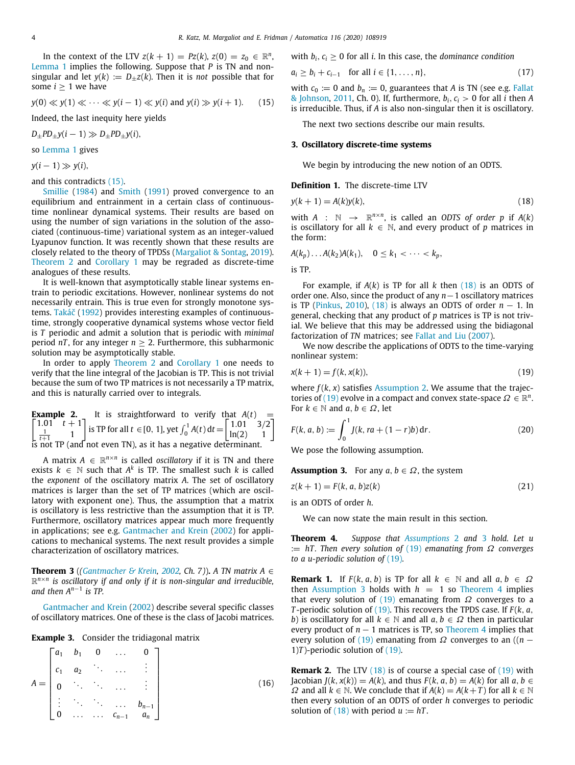In the context of the LTV  $z(k + 1) = Pz(k)$ ,  $z(0) = z_0 \in \mathbb{R}^n$ , [Lemma](#page-2-8) [1](#page-2-8) implies the following. Suppose that *P* is TN and nonsingular and let  $y(k) := D_{+}z(k)$ . Then it is *not* possible that for some  $i \geq 1$  we have

$$
y(0) \ll y(1) \ll \cdots \ll y(i-1) \ll y(i) \text{ and } y(i) \gg y(i+1). \tag{15}
$$

Indeed, the last inequity here yields

 $D_{\pm}PD_{\pm}y(i-1) \gg D_{\pm}PD_{\pm}y(i),$ 

so [Lemma](#page-2-8) [1](#page-2-8) gives

 $y(i-1) \gg y(i)$ ,

and this contradicts [\(15\)](#page-3-1).

[Smillie](#page-9-10) [\(1984](#page-9-10)) and [Smith](#page-9-11) ([1991](#page-9-11)) proved convergence to an equilibrium and entrainment in a certain class of continuoustime nonlinear dynamical systems. Their results are based on using the number of sign variations in the solution of the associated (continuous-time) variational system as an integer-valued Lyapunov function. It was recently shown that these results are closely related to the theory of TPDSs ([Margaliot & Sontag](#page-8-5), [2019\)](#page-8-5). [Theorem](#page-2-5) [2](#page-2-5) and [Corollary](#page-2-9) [1](#page-2-9) may be regraded as discrete-time analogues of these results.

It is well-known that asymptotically stable linear systems entrain to periodic excitations. However, nonlinear systems do not necessarily entrain. This is true even for strongly monotone systems. [Takáč](#page-9-12) ([1992\)](#page-9-12) provides interesting examples of continuoustime, strongly cooperative dynamical systems whose vector field is *T* periodic and admit a solution that is periodic with *minimal* period  $nT$ , for any integer  $n > 2$ . Furthermore, this subharmonic solution may be asymptotically stable.

In order to apply [Theorem](#page-2-5) [2](#page-2-5) and [Corollary](#page-2-9) [1](#page-2-9) one needs to verify that the line integral of the Jacobian is TP. This is not trivial because the sum of two TP matrices is not necessarily a TP matrix, and this is naturally carried over to integrals.

**Example 2.** It is straightforward to verify that 
$$
A(t) = \begin{bmatrix} 1.01 & t+1 \\ \frac{1}{t+1} & 1 \end{bmatrix}
$$
 is TP for all  $t \in [0, 1]$ , yet  $\int_0^1 A(t) dt = \begin{bmatrix} 1.01 & 3/2 \\ \ln(2) & 1 \end{bmatrix}$  is not TP (and not even TN), as it has a negative determinant.

A matrix  $A \in \mathbb{R}^{n \times n}$  is called *oscillatory* if it is TN and there exists  $k \in \mathbb{N}$  such that  $A^k$  is TP. The smallest such  $k$  is called the *exponent* of the oscillatory matrix *A*. The set of oscillatory matrices is larger than the set of TP matrices (which are oscillatory with exponent one). Thus, the assumption that a matrix is oscillatory is less restrictive than the assumption that it is TP. Furthermore, oscillatory matrices appear much more frequently in applications; see e.g. [Gantmacher and Krein](#page-8-7) ([2002\)](#page-8-7) for applications to mechanical systems. The next result provides a simple characterization of oscillatory matrices.

**Theorem 3** (*([Gantmacher & Krein,](#page-8-7) [2002,](#page-8-7) Ch. 7)*). *A TN matrix A*  $\in$ R *n*×*n is oscillatory if and only if it is non-singular and irreducible, and then A<sup>n</sup>*−<sup>1</sup> *is TP.*

[Gantmacher and Krein](#page-8-7) [\(2002](#page-8-7)) describe several specific classes of oscillatory matrices. One of these is the class of Jacobi matrices.

**Example 3.** Consider the tridiagonal matrix

$$
A = \begin{bmatrix} a_1 & b_1 & 0 & \dots & 0 \\ c_1 & a_2 & \ddots & \dots & \vdots \\ 0 & \ddots & \ddots & \dots & \vdots \\ \vdots & \ddots & \ddots & \dots & b_{n-1} \\ 0 & \dots & \dots & c_{n-1} & a_n \end{bmatrix}
$$
 (16)

#### with  $b_i$ ,  $c_i > 0$  for all *i*. In this case, the *dominance condition*

$$
a_i \ge b_i + c_{i-1} \text{ for all } i \in \{1, ..., n\},\tag{17}
$$

<span id="page-3-1"></span>with  $c_0 := 0$  and  $b_n := 0$ , guarantees that *A* is TN (see e.g. [Fallat](#page-8-3) [& Johnson](#page-8-3), [2011,](#page-8-3) Ch. 0). If, furthermore,  $b_i$ ,  $c_i > 0$  for all *i* then *A* is irreducible. Thus, if *A* is also non-singular then it is oscillatory.

The next two sections describe our main results.

# **3. Oscillatory discrete-time systems**

<span id="page-3-2"></span><span id="page-3-0"></span>We begin by introducing the new notion of an ODTS.

### **Definition 1.** The discrete-time LTV

$$
y(k+1) = A(k)y(k),\tag{18}
$$

with  $A : \mathbb{N} \rightarrow \mathbb{R}^{n \times n}$ , is called an *ODTS* of order p if  $A(k)$ is oscillatory for all  $k \in \mathbb{N}$ , and every product of *p* matrices in the form:

$$
A(k_p)\ldots A(k_2)A(k_1),\quad 0\leq k_1<\cdots
$$

is TP.

For example, if *A*(*k*) is TP for all *k* then ([18](#page-3-2)) is an ODTS of order one. Also, since the product of any *n*−1 oscillatory matrices is TP [\(Pinkus,](#page-8-4) [2010](#page-8-4)), ([18\)](#page-3-2) is always an ODTS of order  $n-1$ . In general, checking that any product of *p* matrices is TP is not trivial. We believe that this may be addressed using the bidiagonal factorization of *TN* matrices; see [Fallat and Liu](#page-8-12) ([2007\)](#page-8-12).

We now describe the applications of ODTS to the time-varying nonlinear system:

$$
x(k+1) = f(k, x(k)),
$$
\n(19)

<span id="page-3-8"></span><span id="page-3-3"></span>where *f* (*k*, *x*) satisfies [Assumption](#page-2-4) [2.](#page-2-4) We assume that the trajec-tories of [\(19\)](#page-3-3) evolve in a compact and convex state-space  $\Omega \in \mathbb{R}^n$ . For  $k \in \mathbb{N}$  and  $a, b \in \Omega$ , let

<span id="page-3-7"></span>
$$
F(k, a, b) := \int_0^1 J(k, ra + (1 - r)b) dr.
$$
 (20)

<span id="page-3-4"></span>We pose the following assumption.

**Assumption 3.** For any  $a, b \in \Omega$ , the system

$$
z(k+1) = F(k, a, b)z(k)
$$
\n<sup>(21)</sup>

is an ODTS of order *h*.

<span id="page-3-5"></span>We can now state the main result in this section.

**Theorem 4.** *Suppose that [Assumptions](#page-2-4)* [2](#page-2-4) *and* [3](#page-3-4) *hold. Let u* := *hT . Then every solution of* [\(19\)](#page-3-3) *emanating from* Ω *converges to a u-periodic solution of* [\(19\)](#page-3-3)*.*

<span id="page-3-6"></span>**Remark 1.** If  $F(k, a, b)$  is TP for all  $k \in \mathbb{N}$  and all  $a, b \in \Omega$ then [Assumption](#page-3-4) [3](#page-3-4) holds with  $h = 1$  so [Theorem](#page-3-5) [4](#page-3-5) implies that every solution of ([19](#page-3-3)) emanating from  $\Omega$  converges to a *T* -periodic solution of [\(19\)](#page-3-3). This recovers the TPDS case. If *F* (*k*, *a*, *b*) is oscillatory for all  $k \in \mathbb{N}$  and all  $a, b \in \Omega$  then in particular every product of  $n - 1$  matrices is TP, so [Theorem](#page-3-5) [4](#page-3-5) implies that every solution of [\(19\)](#page-3-3) emanating from  $\Omega$  converges to an ((*n* − 1) $T$ )-periodic solution of  $(19)$  $(19)$  $(19)$ .

**Remark 2.** The LTV ([18](#page-3-2)) is of course a special case of [\(19\)](#page-3-3) with *Jacobian <i>J*(*k*, *x*(*k*)) = *A*(*k*), and thus *F*(*k*, *a*, *b*) = *A*(*k*) for all *a*, *b* ∈  $Ω$  and all  $k ∈ ℕ$ . We conclude that if  $A(k) = A(k+T)$  for all  $k ∈ ℕ$ then every solution of an ODTS of order *h* converges to periodic solution of  $(18)$  $(18)$  with period  $u := hT$ .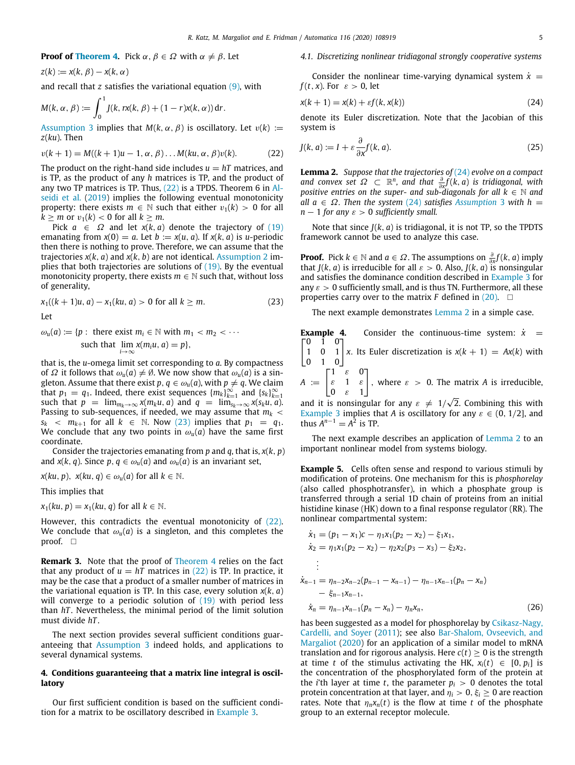# **Proof of [Theorem](#page-3-5) [4.](#page-3-5)** Pick  $\alpha$ ,  $\beta \in \Omega$  with  $\alpha \neq \beta$ . Let

 $z(k) := x(k, \beta) - x(k, \alpha)$ 

and recall that *z* satisfies the variational equation ([9](#page-2-2)), with

$$
M(k, \alpha, \beta) := \int_0^1 J(k, rx(k, \beta) + (1 - r)x(k, \alpha)) dr.
$$

[Assumption](#page-3-4) [3](#page-3-4) implies that  $M(k, \alpha, \beta)$  is oscillatory. Let  $v(k) :=$ *z*(*ku*). Then

$$
v(k+1) = M((k+1)u - 1, \alpha, \beta) \dots M(ku, \alpha, \beta)v(k). \tag{22}
$$

The product on the right-hand side includes  $u = hT$  matrices, and is TP, as the product of any *h* matrices is TP, and the product of any two TP matrices is TP. Thus, ([22](#page-4-1)) is a TPDS. Theorem 6 in [Al](#page-8-6)[seidi et al.](#page-8-6) [\(2019](#page-8-6)) implies the following eventual monotonicity property: there exists  $m \in \mathbb{N}$  such that either  $v_1(k) > 0$  for all  $k \ge m$  or  $v_1(k) < 0$  for all  $k \ge m$ .

Pick  $a \in \Omega$  and let  $x(k, a)$  denote the trajectory of ([19\)](#page-3-3) emanating from  $x(0) = a$ . Let  $b := x(u, a)$ . If  $x(k, a)$  is *u*-periodic then there is nothing to prove. Therefore, we can assume that the trajectories *x*(*k*, *a*) and *x*(*k*, *b*) are not identical. [Assumption](#page-2-4) [2](#page-2-4) implies that both trajectories are solutions of  $(19)$ . By the eventual monotonicity property, there exists  $m \in \mathbb{N}$  such that, without loss of generality,

$$
x_1((k+1)u, a) - x_1(ku, a) > 0 \text{ for all } k \ge m. \tag{23}
$$

Let

$$
\omega_u(a) := \{ p : \text{ there exist } m_i \in \mathbb{N} \text{ with } m_1 < m_2 < \cdots
$$
\n
$$
\text{such that } \lim_{i \to \infty} x(m_i u, a) = p \},
$$

that is, the *u*-omega limit set corresponding to *a*. By compactness of  $\Omega$  it follows that  $\omega_u(a) \neq \emptyset$ . We now show that  $\omega_u(a)$  is a singleton. Assume that there exist  $p, q \in \omega_u(a)$ , with  $p \neq q$ . We claim that  $p_1 = q_1$ . Indeed, there exist sequences  ${m_k}_{k=1}^{\infty}$  and  ${s_k}_{k=1}^{\infty}$ such that  $p = \lim_{m_k \to \infty} x(m_k u, a)$  and  $q = \lim_{s_k \to \infty} x(s_k u, a)$ . Passing to sub-sequences, if needed, we may assume that  $m_k$  <  $s_k < m_{k+1}$  for all  $k \in \mathbb{N}$ . Now [\(23](#page-4-2)) implies that  $p_1 = q_1$ . We conclude that any two points in  $\omega_u(a)$  have the same first coordinate.

Consider the trajectories emanating from *p* and *q*, that is, *x*(*k*, *p*) and *x*(*k*, *q*). Since *p*, *q*  $\in \omega_u(a)$  and  $\omega_u(a)$  is an invariant set,

*x*(*ku*, *p*), *x*(*ku*, *q*)  $\in \omega_u(a)$  for all  $k \in \mathbb{N}$ .

This implies that

 $x_1(ku, p) = x_1(ku, q)$  for all  $k \in \mathbb{N}$ .

However, this contradicts the eventual monotonicity of  $(22)$  $(22)$ . We conclude that  $\omega_u(a)$  is a singleton, and this completes the proof. □

**Remark 3.** Note that the proof of [Theorem](#page-3-5) [4](#page-3-5) relies on the fact that any product of  $u = hT$  matrices in ([22](#page-4-1)) is TP. In practice, it may be the case that a product of a smaller number of matrices in the variational equation is TP. In this case, every solution *x*(*k*, *a*) will converge to a periodic solution of ([19\)](#page-3-3) with period less than *hT* . Nevertheless, the minimal period of the limit solution must divide *hT* .

The next section provides several sufficient conditions guaranteeing that [Assumption](#page-3-4) [3](#page-3-4) indeed holds, and applications to several dynamical systems.

# **4. Conditions guaranteeing that a matrix line integral is oscillatory**

<span id="page-4-0"></span>Our first sufficient condition is based on the sufficient condition for a matrix to be oscillatory described in [Example](#page-3-6) [3](#page-3-6).

# *4.1. Discretizing nonlinear tridiagonal strongly cooperative systems*

Consider the nonlinear time-varying dynamical system  $\dot{x}$  = *f* (*t*, *x*). For  $\varepsilon > 0$ , let

<span id="page-4-3"></span>
$$
x(k+1) = x(k) + \varepsilon f(k, x(k))
$$
\n(24)

denote its Euler discretization. Note that the Jacobian of this system is

<span id="page-4-6"></span><span id="page-4-1"></span>
$$
J(k, a) := I + \varepsilon \frac{\partial}{\partial x} f(k, a).
$$
 (25)

<span id="page-4-4"></span>**Lemma 2.** *Suppose that the trajectories of* ([24\)](#page-4-3) *evolve on a compact and convex set*  $\Omega \subset \mathbb{R}^n$ , and that  $\frac{\partial}{\partial x} f(k, a)$  is tridiagonal, with *positive entries on the super- and sub-diagonals for all*  $k \in \mathbb{N}$  and *all*  $a \in \Omega$ *. Then the system* ([24](#page-4-3)) *satisfies [Assumption](#page-3-4)* [3](#page-3-4) *with*  $h =$ *n* − 1 *for any*  $\varepsilon$  > 0 *sufficiently small.* 

Note that since  $J(k, a)$  is tridiagonal, it is not TP, so the TPDTS framework cannot be used to analyze this case.

**Proof.** Pick  $k \in \mathbb{N}$  and  $a \in \Omega$ . The assumptions on  $\frac{\partial}{\partial x}f(k, a)$  imply that *J*(*k*, *a*) is irreducible for all  $\varepsilon > 0$ . Also, *J*(*k*, *a*) is nonsingular and satisfies the dominance condition described in [Example](#page-3-6) [3](#page-3-6) for any  $\varepsilon > 0$  sufficiently small, and is thus TN. Furthermore, all these properties carry over to the matrix *F* defined in  $(20)$  $(20)$  $(20)$ .  $\square$ 

<span id="page-4-2"></span>The next example demonstrates [Lemma](#page-4-4) [2](#page-4-4) in a simple case.

**Example 4.** [ 0 1 0 Consider the continuous-time system:  $\dot{x} =$ 

1 0 1  $\begin{bmatrix} 0 & 1 & 0 \\ 1 & 0 & 1 \\ 0 & 1 & 0 \end{bmatrix}$ *x*. Its Euler discretization is  $x(k + 1) = Ax(k)$  with

 $A :=$  $\begin{bmatrix} 1 & \varepsilon & 0 \end{bmatrix}$  $\varepsilon$  1  $\varepsilon$  |, where  $\varepsilon > 0$ . The matrix A is irreducible, | 0

and it is nonsingular for any  $\varepsilon \neq 1/\sqrt{2}$ 2. Combining this with [Example](#page-3-6) [3](#page-3-6) implies that *A* is oscillatory for any  $\varepsilon \in (0, 1/2]$ , and thus  $A^{n-1} = A^2$  is TP.

The next example describes an application of [Lemma](#page-4-4) [2](#page-4-4) to an important nonlinear model from systems biology.

<span id="page-4-7"></span>**Example 5.** Cells often sense and respond to various stimuli by modification of proteins. One mechanism for this is *phosphorelay* (also called phosphotransfer), in which a phosphate group is transferred through a serial 1D chain of proteins from an initial histidine kinase (HK) down to a final response regulator (RR). The nonlinear compartmental system:

$$
\begin{aligned}\n\dot{x}_1 &= (p_1 - x_1)c - \eta_1 x_1(p_2 - x_2) - \xi_1 x_1, \\
\dot{x}_2 &= \eta_1 x_1(p_2 - x_2) - \eta_2 x_2(p_3 - x_3) - \xi_2 x_2, \\
&\vdots \\
\dot{x}_{n-1} &= \eta_{n-2} x_{n-2}(p_{n-1} - x_{n-1}) - \eta_{n-1} x_{n-1}(p_n - x_n) \\
&\quad - \xi_{n-1} x_{n-1}, \\
\dot{x}_n &= \eta_{n-1} x_{n-1}(p_n - x_n) - \eta_n x_n,\n\end{aligned}\n\tag{26}
$$

<span id="page-4-5"></span>has been suggested as a model for phosphorelay by [Csikasz-Nagy,](#page-8-13) [Cardelli, and Soyer](#page-8-13) ([2011\)](#page-8-13); see also [Bar-Shalom, Ovseevich, and](#page-8-14) [Margaliot](#page-8-14) ([2020\)](#page-8-14) for an application of a similar model to mRNA translation and for rigorous analysis. Here  $c(t) > 0$  is the strength at time *t* of the stimulus activating the HK,  $x_i(t) \in [0, p_i]$  is the concentration of the phosphorylated form of the protein at the *i*'th layer at time *t*, the parameter  $p_i > 0$  denotes the total protein concentration at that layer, and  $\eta_i > 0$ ,  $\xi_i \geq 0$  are reaction rates. Note that  $\eta_n x_n(t)$  is the flow at time *t* of the phosphate group to an external receptor molecule.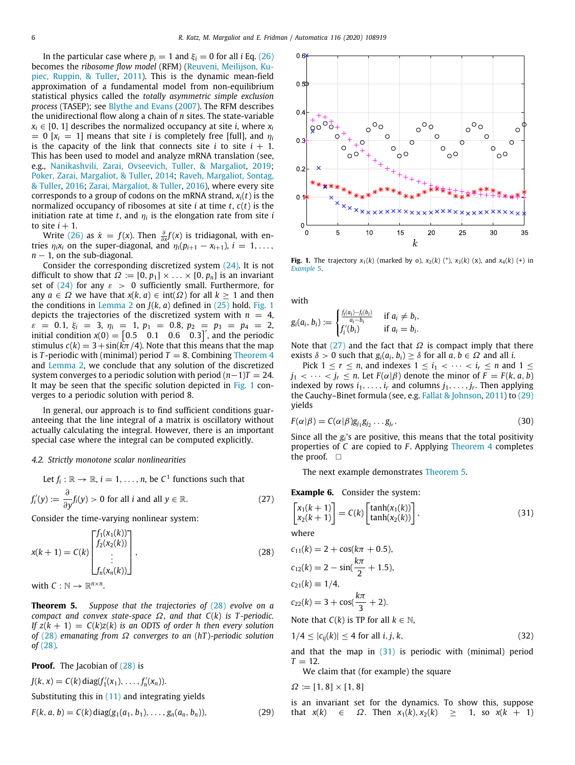In the particular case where  $p_i = 1$  and  $\xi_i = 0$  for all *i* Eq. [\(26\)](#page-4-5) becomes the *ribosome flow model* (RFM) [\(Reuveni, Meilijson, Ku](#page-9-13)[piec, Ruppin, & Tuller](#page-9-13), [2011](#page-9-13)). This is the dynamic mean-field approximation of a fundamental model from non-equilibrium statistical physics called the *totally asymmetric simple exclusion process* (TASEP); see [Blythe and Evans](#page-8-15) ([2007\)](#page-8-15). The RFM describes the unidirectional flow along a chain of *n* sites. The state-variable  $x_i \in [0, 1]$  describes the normalized occupancy at site *i*, where  $x_i$  $= 0$  [ $x_i = 1$ ] means that site *i* is completely free [full], and  $\eta_i$ is the capacity of the link that connects site  $i$  to site  $i + 1$ . This has been used to model and analyze mRNA translation (see, e.g., [Nanikashvili, Zarai, Ovseevich, Tuller, & Margaliot,](#page-8-16) [2019;](#page-8-16) [Poker, Zarai, Margaliot, & Tuller](#page-8-17), [2014](#page-8-17); [Raveh, Margaliot, Sontag,](#page-9-14) [& Tuller](#page-9-14), [2016](#page-9-14); [Zarai, Margaliot, & Tuller](#page-9-15), [2016](#page-9-15)), where every site corresponds to a group of codons on the mRNA strand, *xi*(*t*) is the normalized occupancy of ribosomes at site *i* at time *t*, *c*(*t*) is the initiation rate at time  $t$ , and  $\eta_i$  is the elongation rate from site  $i$ to site  $i + 1$ .

Write [\(26](#page-4-5)) as  $\dot{x} = f(x)$ . Then  $\frac{\partial}{\partial x}f(x)$  is tridiagonal, with entries  $\eta_i x_i$  on the super-diagonal, and  $\eta_i(p_{i+1} - x_{i+1})$ ,  $i = 1, \ldots$ , *n* − 1, on the sub-diagonal.

Consider the corresponding discretized system ([24](#page-4-3)). It is not difficult to show that  $\Omega := [0, p_1] \times ... \times [0, p_n]$  is an invariant set of ([24](#page-4-3)) for any  $\varepsilon > 0$  sufficiently small. Furthermore, for any  $a \in \Omega$  we have that  $x(k, a) \in \text{int}(\Omega)$  for all  $k > 1$  and then the conditions in [Lemma](#page-4-4) [2](#page-4-4) on  $J(k, a)$  defined in  $(25)$  $(25)$  hold. [Fig.](#page-5-0) [1](#page-5-0) depicts the trajectories of the discretized system with  $n = 4$ ,  $\varepsilon = 0.1, \xi_i = 3, \eta_i = 1, p_1 = 0.8, p_2 = p_3 = p_4 = 2,$ initial condition  $x(0) = \begin{bmatrix} 0.5 & 0.1 & 0.6 & 0.3 \end{bmatrix}^T$ , and the periodic stimulus  $c(k) = 3 + \sin(k\pi/4)$ . Note that this means that the map is *T*-periodic with (minimal) period  $T = 8$ . Combining [Theorem](#page-3-5) [4](#page-3-5) and [Lemma](#page-4-4) [2,](#page-4-4) we conclude that any solution of the discretized system converges to a periodic solution with period (*n*−1)*T* = 24. It may be seen that the specific solution depicted in [Fig.](#page-5-0) [1](#page-5-0) converges to a periodic solution with period 8.

In general, our approach is to find sufficient conditions guaranteeing that the line integral of a matrix is oscillatory without actually calculating the integral. However, there is an important special case where the integral can be computed explicitly.

## *4.2. Strictly monotone scalar nonlinearities*

Let 
$$
f_i : \mathbb{R} \to \mathbb{R}
$$
,  $i = 1, ..., n$ , be  $C^1$  functions such that  
\n
$$
f'_i(y) := \frac{\partial}{\partial y} f_i(y) > 0 \text{ for all } i \text{ and all } y \in \mathbb{R}.
$$
\n(27)

Consider the time-varying nonlinear system:

$$
x(k+1) = C(k) \begin{bmatrix} f_1(x_1(k)) \\ f_2(x_2(k)) \\ \vdots \\ f_n(x_n(k)) \end{bmatrix},
$$
\n(28)

<span id="page-5-4"></span>with  $C : \mathbb{N} \to \mathbb{R}^{n \times n}$ .

**Theorem 5.** *Suppose that the trajectories of* [\(28](#page-5-1)) *evolve on a compact and convex state-space* Ω*, and that C*(*k*) *is T -periodic. If*  $z(k + 1) = C(k)z(k)$  *is an ODTS of order h then every solution of* [\(28\)](#page-5-1) *emanating from* Ω *converges to an* (*hT* )*-periodic solution of* [\(28](#page-5-1))*.*

**Proof.** The Jacobian of [\(28](#page-5-1)) is

$$
J(k, x) = C(k) \operatorname{diag}(f'_1(x_1), \dots, f'_n(x_n)).
$$
  
Substituting this in (11) and integrating yields

$$
F(k, a, b) = C(k) diag(g_1(a_1, b_1), \dots, g_n(a_n, b_n)),
$$
\n(29)



<span id="page-5-0"></span>**Fig. 1.** The trajectory  $x_1(k)$  (marked by o),  $x_2(k)$  (\*),  $x_3(k)$  (x), and  $x_4(k)$  (+) in *[Example](#page-4-7)* [5](#page-4-7).

with

$$
g_i(a_i, b_i) := \begin{cases} \frac{f_i(a_i) - f_i(b_i)}{a_i - b_i} & \text{if } a_i \neq b_i, \\ f'_i(b_i) & \text{if } a_i = b_i. \end{cases}
$$

Note that [\(27\)](#page-5-2) and the fact that  $\Omega$  is compact imply that there exists  $\delta > 0$  such that  $g_i(a_i, b_i) \geq \delta$  for all  $a, b \in \Omega$  and all *i*.

Pick  $1 \le r \le n$ , and indexes  $1 \le i_1 < \cdots < i_r \le n$  and  $1 \le$  $j_1 < \cdots < j_r \leq n$ . Let  $F(\alpha | \beta)$  denote the minor of  $F = F(k, a, b)$ indexed by rows  $i_1, \ldots, i_r$  and columns  $j_1, \ldots, j_r$ . Then applying the Cauchy–Binet formula (see, e.g. [Fallat & Johnson,](#page-8-3) [2011](#page-8-3)) to [\(29\)](#page-5-3) yields

$$
F(\alpha|\beta) = C(\alpha|\beta)g_{j_1}g_{j_2}\dots g_{j_r}.
$$
\n(30)

Since all the  $g_i$ 's are positive, this means that the total positivity properties of *C* are copied to *F* . Applying [Theorem](#page-3-5) [4](#page-3-5) completes the proof. □

<span id="page-5-6"></span><span id="page-5-5"></span>The next example demonstrates [Theorem](#page-5-4) [5.](#page-5-4)

<span id="page-5-2"></span>**Example 6.** Consider the system:

$$
\begin{bmatrix} x_1(k+1) \\ x_2(k+1) \end{bmatrix} = C(k) \begin{bmatrix} \tanh(x_1(k)) \\ \tanh(x_2(k)) \end{bmatrix},
$$
\n(31)

where

<span id="page-5-1"></span>
$$
c_{11}(k) = 2 + \cos(k\pi + 0.5),
$$
  
\n
$$
c_{12}(k) = 2 - \sin(\frac{k\pi}{2} + 1.5),
$$
  
\n
$$
c_{21}(k) = 1/4,
$$
  
\n
$$
c_{22}(k) = 3 + \cos(\frac{k\pi}{3} + 2).
$$
  
\nNote that  $C(k)$  is TP for all  $k \in \mathbb{N}$ ,

$$
1/4 \leq |c_{ij}(k)| \leq 4 \text{ for all } i, j, k,
$$
\n(32)

and that the map in  $(31)$  $(31)$  $(31)$  is periodic with (minimal) period  $T = 12$ .

We claim that (for example) the square

$$
\Omega \coloneqq [1,8] \times [1,8]
$$

<span id="page-5-3"></span>is an invariant set for the dynamics. To show this, suppose that  $x(k) \in \Omega$ . Then  $x_1(k), x_2(k) \geq 1$ , so  $x(k + 1)$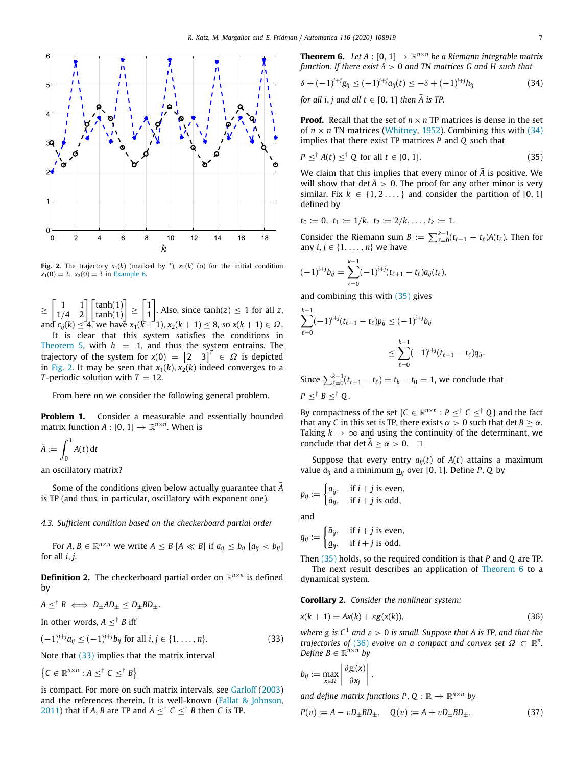

<span id="page-6-0"></span>**Fig. 2.** The trajectory  $x_1(k)$  (marked by  $^*$ ),  $x_2(k)$  (o) for the initial condition  $x_1(0) = 2$ ,  $x_2(0) = 3$  in [Example](#page-5-6) [6.](#page-5-6)

≥  $\begin{bmatrix} 1 & 1 \\ 1/4 & 2 \end{bmatrix} \begin{bmatrix} \tanh(1) \\ \tanh(1) \end{bmatrix} \geq \begin{bmatrix} 1 \\ 1 \end{bmatrix}$ 1  $\left.\rule{0pt}{10pt}\right]$ . Also, since tanh(*z*)  $\leq 1$  for all *z*, and  $c_{ij}(k) \le 4$ , we have  $x_1(k+1), x_2(k+1) \le 8$ , so  $x(k+1) \in \Omega$ . It is clear that this system satisfies the conditions in [Theorem](#page-5-4) [5](#page-5-4), with  $h = 1$ , and thus the system entrains. The trajectory of the system for  $x(0) = \begin{bmatrix} 2 & 3 \end{bmatrix}^T \in \Omega$  is depicted in [Fig.](#page-6-0) [2.](#page-6-0) It may be seen that  $x_1(k)$ ,  $x_2(k)$  indeed converges to a *T*-periodic solution with  $T = 12$ .

From here on we consider the following general problem.

**Problem 1.** Consider a measurable and essentially bounded matrix function  $A: [0, 1] \rightarrow \mathbb{R}^{n \times n}$ . When is

$$
\bar{A} := \int_0^1 A(t) \, \mathrm{d}t
$$

an oscillatory matrix?

Some of the conditions given below actually guarantee that *<sup>A</sup>*¯ is TP (and thus, in particular, oscillatory with exponent one).

## *4.3. Sufficient condition based on the checkerboard partial order*

For  $A, B \in \mathbb{R}^{n \times n}$  we write  $A \leq B$  [ $A \ll B$ ] if  $a_{ij} \leq b_{ij}$  [ $a_{ij} < b_{ij}$ ] for all *i*, *j*.

**Definition 2.** The checkerboard partial order on  $\mathbb{R}^{n \times n}$  is defined by

$$
A \leq^{\dagger} B \iff D_{\pm}AD_{\pm} \leq D_{\pm}BD_{\pm}.
$$

In other words,  $A \leq^{\dagger} B$  iff

$$
(-1)^{i+j}a_{ij} \le (-1)^{i+j}b_{ij} \text{ for all } i,j \in \{1,\ldots,n\}. \tag{33}
$$

Note that ([33](#page-6-1)) implies that the matrix interval

 ${C \in \mathbb{R}^{n \times n} : A \leq^{\dagger} C \leq^{\dagger} B}$ 

<span id="page-6-4"></span>is compact. For more on such matrix intervals, see [Garloff](#page-8-18) [\(2003\)](#page-8-18) and the references therein. It is well-known ([Fallat & Johnson,](#page-8-3) [2011\)](#page-8-3) that if *A*, *B* are TP and  $A \leq^{\dagger} C \leq^{\dagger} B$  then *C* is TP.

**Theorem 6.** Let  $A : [0, 1] \rightarrow \mathbb{R}^{n \times n}$  be a Riemann integrable matrix *function. If there exist* δ > 0 *and TN matrices G and H such that*

<span id="page-6-2"></span>
$$
\delta + (-1)^{i+j} g_{ij} \leq (-1)^{i+j} a_{ij}(t) \leq -\delta + (-1)^{i+j} h_{ij}
$$
\n(34)

*for all i, j and all t*  $\in$  [0, 1] *then*  $\overline{A}$  *is TP.* 

**Proof.** Recall that the set of  $n \times n$  TP matrices is dense in the set of  $n \times n$  TN matrices [\(Whitney](#page-9-16), [1952](#page-9-16)). Combining this with ([34\)](#page-6-2) implies that there exist TP matrices *P* and *Q* such that

<span id="page-6-3"></span>
$$
P \leq^{\dagger} A(t) \leq^{\dagger} Q \text{ for all } t \in [0, 1]. \tag{35}
$$

We claim that this implies that every minor of  $\overline{A}$  is positive. We will show that det  $\bar{A} > 0$ . The proof for any other minor is very similar. Fix  $k \in \{1, 2, \ldots\}$  and consider the partition of [0, 1] defined by

$$
t_0 := 0, t_1 := 1/k, t_2 := 2/k, \ldots, t_k := 1.
$$

Consider the Riemann sum  $B := \sum_{\ell=0}^{k-1} (t_{\ell+1} - t_{\ell}) A(t_{\ell}).$  Then for any  $i, j \in \{1, \ldots, n\}$  we have

$$
(-1)^{i+j}b_{ij}=\sum_{\ell=0}^{k-1}(-1)^{i+j}(t_{\ell+1}-t_{\ell})a_{ij}(t_{\ell}),
$$

and combining this with ([35](#page-6-3)) gives

$$
\sum_{\ell=0}^{k-1}(-1)^{i+j}(t_{\ell+1}-t_{\ell})p_{ij} \leq (-1)^{i+j}b_{ij}
$$
  

$$
\leq \sum_{\ell=0}^{k-1}(-1)^{i+j}(t_{\ell+1}-t_{\ell})q_{ij}.
$$

Since  $\sum_{\ell=0}^{k-1} (t_{\ell+1} - t_{\ell}) = t_k - t_0 = 1$ , we conclude that

 $P \leq^{\dagger} B \leq^{\dagger} Q$ .

By compactness of the set { $C \in \mathbb{R}^{n \times n}$  :  $P \leq^{\dagger} C \leq^{\dagger} Q$ } and the fact that any *C* in this set is TP, there exists  $\alpha > 0$  such that det  $B \geq \alpha$ . Taking  $k \to \infty$  and using the continuity of the determinant, we conclude that det  $\bar{A} > \alpha > 0$ .  $\Box$ 

Suppose that every entry  $a_{ij}(t)$  of  $A(t)$  attains a maximum value  $\bar{a}_{ij}$  and a minimum  $\underline{a}_{ji}$  over [0, 1]. Define *P*, *Q* by

$$
p_{ij} := \begin{cases} \underline{a}_{ij}, & \text{if } i + j \text{ is even,} \\ \overline{a}_{ij}, & \text{if } i + j \text{ is odd,} \end{cases}
$$

and

$$
q_{ij} := \begin{cases} \bar{a}_{ij}, & \text{if } i+j \text{ is even,} \\ \underline{a}_{ij}, & \text{if } i+j \text{ is odd,} \end{cases}
$$

Then [\(35\)](#page-6-3) holds, so the required condition is that *P* and *Q* are TP. The next result describes an application of [Theorem](#page-6-4) [6](#page-6-4) to a dynamical system.

**Corollary 2.** *Consider the nonlinear system:*

<span id="page-6-5"></span>
$$
x(k+1) = Ax(k) + \varepsilon g(x(k)),
$$
\n(36)

<span id="page-6-1"></span>*where g is*  $C^1$  *and*  $\varepsilon > 0$  *is small. Suppose that A is TP, and that the trajectories of* [\(36\)](#page-6-5) *evolve on a compact and convex set*  $\Omega \subset \mathbb{R}^n$ . *Define*  $B \in \mathbb{R}^{n \times n}$  *by* 

$$
b_{ij} := \max_{x \in \Omega} \left| \frac{\partial g_i(x)}{\partial x_j} \right|,
$$

<span id="page-6-6"></span>and define matrix functions  $P, Q : \mathbb{R} \to \mathbb{R}^{n \times n}$  by

$$
P(v) := A - vD_{\pm}BD_{\pm}, \quad Q(v) := A + vD_{\pm}BD_{\pm}.
$$
 (37)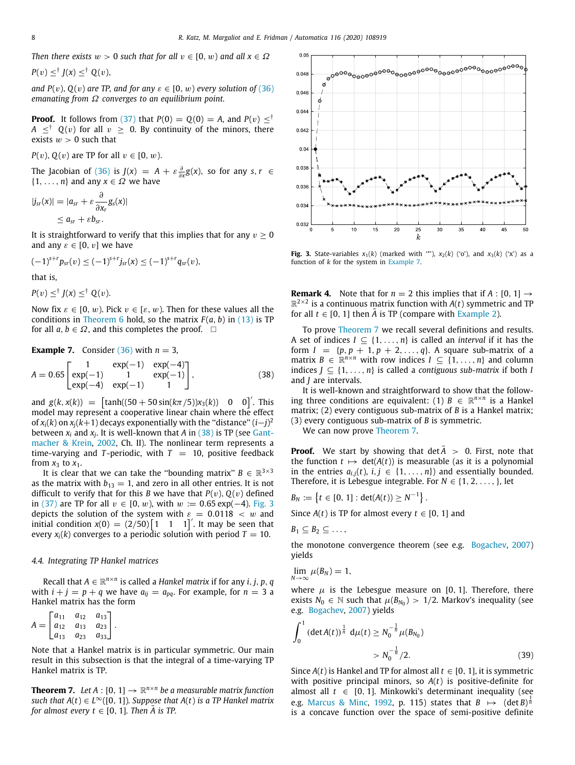*Then there exists*  $w > 0$  *such that for all*  $v \in [0, w)$  *and all*  $x \in \Omega$ 

$$
P(v) \leq^{\dagger} J(x) \leq^{\dagger} Q(v),
$$

*and P(v), Q(v) are TP, and for any*  $\varepsilon \in [0, w)$  *every solution of* [\(36\)](#page-6-5) *emanating from* Ω *converges to an equilibrium point.*

**Proof.** It follows from ([37\)](#page-6-6) that  $P(0) = Q(0) = A$ , and  $P(v) \leq^{\dagger}$  $A \leq^{\dagger} Q(v)$  for all  $v \geq 0$ . By continuity of the minors, there exists  $w > 0$  such that

*P*(*v*), *Q*(*v*) are TP for all  $v \in [0, w)$ .

The Jacobian of [\(36\)](#page-6-5) is  $J(x) = A + \varepsilon \frac{\partial}{\partial x} g(x)$ , so for any  $s, r \in$  $\{1, \ldots, n\}$  and any  $x \in \Omega$  we have

$$
|j_{sr}(x)| = |a_{sr} + \varepsilon \frac{\partial}{\partial x_r} g_s(x)|
$$
  

$$
\leq a_{sr} + \varepsilon b_{sr}.
$$

It is straightforward to verify that this implies that for any  $v \geq 0$ and any  $\varepsilon \in [0, v]$  we have

$$
(-1)^{s+r} p_{sr}(v) \leq (-1)^{s+r} j_{sr}(x) \leq (-1)^{s+r} q_{sr}(v),
$$

that is,

 $P(v) \leq^{\dagger} J(x) \leq^{\dagger} Q(v).$ 

Now fix  $\varepsilon \in [0, w)$ . Pick  $v \in [\varepsilon, w)$ . Then for these values all the conditions in [Theorem](#page-6-4) [6](#page-6-4) hold, so the matrix  $F(a, b)$  in ([13](#page-2-11)) is TP for all  $a, b \in \Omega$ , and this completes the proof.  $\square$ 

## <span id="page-7-2"></span>**Example 7.** Consider  $(36)$  $(36)$  $(36)$  with  $n = 3$ ,

$$
A = 0.65 \begin{bmatrix} 1 & \exp(-1) & \exp(-4) \\ \exp(-1) & 1 & \exp(-1) \\ \exp(-4) & \exp(-1) & 1 \end{bmatrix},
$$
 (38)

and  $g(k, x(k)) = \int \tanh((50 + 50 \sin(k\pi/5))x_3(k)) \quad 0 \quad 0\Big]'.$  This model may represent a cooperative linear chain where the effect of  $x_i(k)$  on  $x_j(k+1)$  decays exponentially with the "distance"  $(i-j)^2$ between *x<sup>i</sup>* and *x<sup>j</sup>* . It is well-known that *A* in ([38](#page-7-0)) is TP (see [Gant](#page-8-7)[macher & Krein](#page-8-7), [2002](#page-8-7), Ch. II). The nonlinear term represents a time-varying and *T*-periodic, with  $T = 10$ , positive feedback from  $x_3$  to  $x_1$ .

It is clear that we can take the "bounding matrix"  $B \in \mathbb{R}^{3 \times 3}$ as the matrix with  $b_{13} = 1$ , and zero in all other entries. It is not difficult to verify that for this *B* we have that  $P(v)$ ,  $Q(v)$  defined in [\(37](#page-6-6)) are TP for all  $v \in [0, w)$ , with  $w := 0.65 \exp(-4)$ . [Fig.](#page-7-1) [3](#page-7-1) depicts the solution of the system with  $\varepsilon = 0.0118 < w$  and initial condition  $x(0) = (2/50) \begin{bmatrix} 1 & 1 & 1 \end{bmatrix}$ . It may be seen that every  $x_i(k)$  converges to a periodic solution with period  $T = 10$ .

### *4.4. Integrating TP Hankel matrices*

 $\text{Recall that } A \in \mathbb{R}^{n \times n}$  is called a *Hankel matrix* if for any *i*, *j*, *p*, *q* with  $i + j = p + q$  we have  $a_{ij} = a_{pq}$ . For example, for  $n = 3$  a Hankel matrix has the form

$$
A = \begin{bmatrix} a_{11} & a_{12} & a_{13} \\ a_{12} & a_{13} & a_{23} \\ a_{13} & a_{23} & a_{33} \end{bmatrix}.
$$

Note that a Hankel matrix is in particular symmetric. Our main result in this subsection is that the integral of a time-varying TP Hankel matrix is TP.

<span id="page-7-5"></span><span id="page-7-3"></span>**Theorem 7.** Let  $A : [0, 1] \rightarrow \mathbb{R}^{n \times n}$  be a measurable matrix function *such that A*(*t*) ∈ *L* <sup>∞</sup>([0, 1])*. Suppose that A*(*t*) *is a TP Hankel matrix for almost every t*  $\in$  [0, 1]*. Then A is TP.* 



<span id="page-7-1"></span>**Fig. 3.** State-variables  $x_1(k)$  (marked with '\*'),  $x_2(k)$  ('o'), and  $x_3(k)$  ('x') as a function of *k* for the system in [Example](#page-7-2) [7](#page-7-2).

**Remark 4.** Note that for  $n = 2$  this implies that if  $A : [0, 1] \rightarrow$  $\mathbb{R}^{2\times 2}$  is a continuous matrix function with  $A(t)$  symmetric and TP for all  $t \in [0, 1]$  then  $\overline{A}$  is TP (compare with [Example](#page-3-8) [2\)](#page-3-8).

To prove [Theorem](#page-7-3) [7](#page-7-3) we recall several definitions and results. A set of indices  $I \subseteq \{1, \ldots, n\}$  is called an *interval* if it has the form  $I = \{p, p + 1, p + 2, ..., q\}$ . A square sub-matrix of a matrix  $B \in \mathbb{R}^{n \times n}$  with row indices  $I \subseteq \{1, ..., n\}$  and column indices  $J \subseteq \{1, \ldots, n\}$  is called a *contiguous sub-matrix* if both *I* and *J* are intervals.

<span id="page-7-0"></span>It is well-known and straightforward to show that the following three conditions are equivalent: (1)  $B \in \mathbb{R}^{n \times n}$  is a Hankel matrix; (2) every contiguous sub-matrix of *B* is a Hankel matrix; (3) every contiguous sub-matrix of *B* is symmetric.

We can now prove [Theorem](#page-7-3) [7](#page-7-3).

**Proof.** We start by showing that  $\det A > 0$ . First, note that the function  $t \mapsto \det(A(t))$  is measurable (as it is a polynomial in the entries  $a_{i,j}(t)$ ,  $i, j \in \{1, ..., n\}$  and essentially bounded. Therefore, it is Lebesgue integrable. For  $N \in \{1, 2, ..., \}$ , let

$$
B_N := \{t \in [0, 1]: \det(A(t)) \ge N^{-1}\}.
$$

Since  $A(t)$  is TP for almost every  $t \in [0, 1]$  and

$$
B_1\subseteq B_2\subseteq \ldots,
$$

the monotone convergence theorem (see e.g. [Bogachev,](#page-8-19) [2007\)](#page-8-19) yields

$$
\lim_{N\to\infty}\mu(B_N)=1,
$$

where  $\mu$  is the Lebesgue measure on [0, 1]. Therefore, there exists  $N_0 \in \mathbb{N}$  such that  $\mu(B_{N_0}) > 1/2$ . Markov's inequality (see e.g. [Bogachev](#page-8-19), [2007](#page-8-19)) yields

<span id="page-7-4"></span>
$$
\int_0^1 (\det A(t))^{\frac{1}{n}} d\mu(t) \ge N_0^{-\frac{1}{n}} \mu(B_{N_0})
$$
  
>  $N_0^{-\frac{1}{n}} / 2.$  (39)

Since  $A(t)$  is Hankel and TP for almost all  $t \in [0, 1]$ , it is symmetric with positive principal minors, so *A*(*t*) is positive-definite for almost all  $t \in [0, 1]$ . Minkowki's determinant inequality (see e.g. [Marcus & Minc,](#page-8-20) [1992,](#page-8-20) p. 115) states that  $B \mapsto (\det B)^{\frac{1}{n}}$ is a concave function over the space of semi-positive definite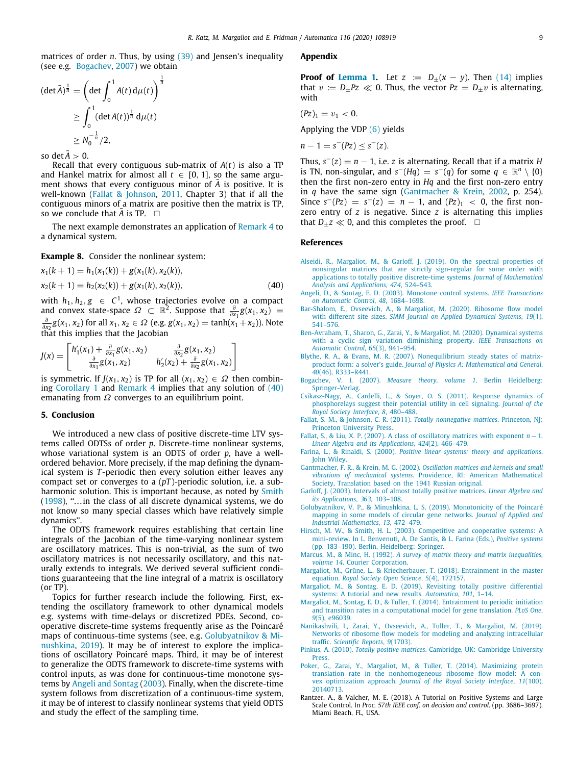matrices of order *n*. Thus, by using [\(39\)](#page-7-4) and Jensen's inequality (see e.g. [Bogachev](#page-8-19), [2007](#page-8-19)) we obtain

$$
(\det \bar{A})^{\frac{1}{n}} = \left(\det \int_0^1 A(t) d\mu(t)\right)^{\frac{1}{n}}
$$
  
\n
$$
\geq \int_0^1 (\det A(t))^{\frac{1}{n}} d\mu(t)
$$
  
\n
$$
\geq N_0^{-\frac{1}{n}}/2,
$$

so det  $\bar{A} > 0$ .

Recall that every contiguous sub-matrix of *A*(*t*) is also a TP and Hankel matrix for almost all  $t \in [0, 1]$ , so the same argument shows that every contiguous minor of A is positive. It is well-known ([Fallat & Johnson,](#page-8-3) [2011,](#page-8-3) Chapter 3) that if all the contiguous minors of a matrix are positive then the matrix is TP, so we conclude that *A* is TP.  $\square$ 

The next example demonstrates an application of [Remark](#page-7-5) [4](#page-7-5) to a dynamical system.

**Example 8.** Consider the nonlinear system:

$$
x_1(k + 1) = h_1(x_1(k)) + g(x_1(k), x_2(k)),
$$
  
\n
$$
x_2(k + 1) = h_2(x_2(k)) + g(x_1(k), x_2(k)),
$$
\n(40)

with *h*<sub>1</sub>, *h*<sub>2</sub>, *g* ∈ *C*<sup>1</sup>, whose trajectories evolve on a compact and convex state-space  $\Omega \subset \mathbb{R}^2$ . Suppose that  $\frac{\partial}{\partial x_1}g(x_1, x_2)$  =  $\frac{\partial}{\partial x_2} g(x_1, x_2)$  for all *x*<sub>1</sub>, *x*<sub>2</sub> ∈ *Ω* (e.g. *g*(*x*<sub>1</sub>, *x*<sub>2</sub>) = tanh(*x*<sub>1</sub> + *x*<sub>2</sub>)). Note that this implies that the Jacobian

$$
J(x) = \begin{bmatrix} h'_1(x_1) + \frac{\partial}{\partial x_1} g(x_1, x_2) & \frac{\partial}{\partial x_2} g(x_1, x_2) \\ \frac{\partial}{\partial x_1} g(x_1, x_2) & h'_2(x_2) + \frac{\partial}{\partial x_2} g(x_1, x_2) \end{bmatrix}
$$

is symmetric. If *J*( $x_1, x_2$ ) is TP for all  $(x_1, x_2) \in \Omega$  then combining [Corollary](#page-2-9) [1](#page-2-9) and [Remark](#page-7-5) [4](#page-7-5) implies that any solution of ([40\)](#page-8-21) emanating from  $\Omega$  converges to an equilibrium point.

## **5. Conclusion**

We introduced a new class of positive discrete-time LTV systems called ODTSs of order *p*. Discrete-time nonlinear systems, whose variational system is an ODTS of order *p*, have a wellordered behavior. More precisely, if the map defining the dynamical system is *T* -periodic then every solution either leaves any compact set or converges to a (*pT* )-periodic solution, i.e. a sub-harmonic solution. This is important because, as noted by [Smith](#page-9-9)  $(1998)$  $(1998)$ , "... in the class of all discrete dynamical systems, we do not know so many special classes which have relatively simple dynamics''.

The ODTS framework requires establishing that certain line integrals of the Jacobian of the time-varying nonlinear system are oscillatory matrices. This is non-trivial, as the sum of two oscillatory matrices is not necessarily oscillatory, and this naturally extends to integrals. We derived several sufficient conditions guaranteeing that the line integral of a matrix is oscillatory (or TP).

Topics for further research include the following. First, extending the oscillatory framework to other dynamical models e.g. systems with time-delays or discretized PDEs. Second, cooperative discrete-time systems frequently arise as the Poincaré maps of continuous-time systems (see, e.g. [Golubyatnikov & Mi](#page-8-22)[nushkina,](#page-8-22) [2019\)](#page-8-22). It may be of interest to explore the implications of oscillatory Poincaré maps. Third, it may be of interest to generalize the ODTS framework to discrete-time systems with control inputs, as was done for continuous-time monotone systems by [Angeli and Sontag](#page-8-23) [\(2003\)](#page-8-23). Finally, when the discrete-time system follows from discretization of a continuous-time system, it may be of interest to classify nonlinear systems that yield ODTS and study the effect of the sampling time.

#### **Appendix**

<span id="page-8-11"></span>**Proof of [Lemma](#page-2-8) [1.](#page-2-8)** Let  $z := D_{\pm}(x - y)$ . Then [\(14\)](#page-2-7) implies that  $v := D_{+}Pz \ll 0$ . Thus, the vector  $Pz = D_{+}v$  is alternating, with

$$
(Pz)_1=v_1<0.
$$

Applying the VDP ([6\)](#page-1-4) yields

$$
n-1=s^-(Pz)\leq s^-(z).
$$

Thus,  $s^{-}(z) = n - 1$ , i.e. *z* is alternating. Recall that if a matrix *H* is TN, non-singular, and  $s^-(Hq) = s^-(q)$  for some  $q \in \mathbb{R}^n \setminus \{0\}$ then the first non-zero entry in *Hq* and the first non-zero entry in *q* have the same sign [\(Gantmacher & Krein](#page-8-7), [2002,](#page-8-7) p. 254). Since  $s^{-}(Pz) = s^{-}(z) = n - 1$ , and  $(Pz)_{1} < 0$ , the first nonzero entry of *z* is negative. Since *z* is alternating this implies that  $D_{\pm}z \ll 0$ , and this completes the proof.  $\square$ 

## **References**

- <span id="page-8-6"></span>[Alseidi, R., Margaliot, M., & Garloff, J. \(2019\). On the spectral properties of](http://refhub.elsevier.com/S0005-1098(20)30117-5/sb1) [nonsingular matrices that are strictly sign-regular for some order with](http://refhub.elsevier.com/S0005-1098(20)30117-5/sb1) [applications to totally positive discrete-time systems.](http://refhub.elsevier.com/S0005-1098(20)30117-5/sb1) *Journal of Mathematical [Analysis and Applications](http://refhub.elsevier.com/S0005-1098(20)30117-5/sb1)*, *474*, 524–543.
- <span id="page-8-23"></span><span id="page-8-21"></span>[Angeli, D., & Sontag, E. D. \(2003\). Monotone control systems.](http://refhub.elsevier.com/S0005-1098(20)30117-5/sb2) *IEEE Transactions [on Automatic Control](http://refhub.elsevier.com/S0005-1098(20)30117-5/sb2)*, *48*, 1684–1698.
- <span id="page-8-14"></span>[Bar-Shalom, E., Ovseevich, A., & Margaliot, M. \(2020\). Ribosome flow model](http://refhub.elsevier.com/S0005-1098(20)30117-5/sb3) with different site sizes. *[SIAM Journal on Applied Dynamical Systems](http://refhub.elsevier.com/S0005-1098(20)30117-5/sb3)*, *19*(1), [541–576.](http://refhub.elsevier.com/S0005-1098(20)30117-5/sb3)
- <span id="page-8-8"></span>[Ben-Avraham, T., Sharon, G., Zarai, Y., & Margaliot, M. \(2020\). Dynamical systems](http://refhub.elsevier.com/S0005-1098(20)30117-5/sb4) [with a cyclic sign variation diminishing property.](http://refhub.elsevier.com/S0005-1098(20)30117-5/sb4) *IEEE Transactions on [Automatic Control](http://refhub.elsevier.com/S0005-1098(20)30117-5/sb4)*, *65*(3), 941–954.
- <span id="page-8-15"></span>[Blythe, R. A., & Evans, M. R. \(2007\). Nonequilibrium steady states of matrix](http://refhub.elsevier.com/S0005-1098(20)30117-5/sb5)product form: a solver's guide. *[Journal of Physics A: Mathematical and General](http://refhub.elsevier.com/S0005-1098(20)30117-5/sb5)*, *40*[\(46\), R333–R441.](http://refhub.elsevier.com/S0005-1098(20)30117-5/sb5)
- <span id="page-8-19"></span>Bogachev, V. I. (2007). *[Measure theory, volume 1](http://refhub.elsevier.com/S0005-1098(20)30117-5/sb6)*. Berlin Heidelberg: [Springer-Verlag.](http://refhub.elsevier.com/S0005-1098(20)30117-5/sb6)
- <span id="page-8-13"></span>[Csikasz-Nagy, A., Cardelli, L., & Soyer, O. S. \(2011\). Response dynamics of](http://refhub.elsevier.com/S0005-1098(20)30117-5/sb7) [phosphorelays suggest their potential utility in cell signaling.](http://refhub.elsevier.com/S0005-1098(20)30117-5/sb7) *Journal of the [Royal Society Interface](http://refhub.elsevier.com/S0005-1098(20)30117-5/sb7)*, *8*, 480–488.
- <span id="page-8-3"></span>[Fallat, S. M., & Johnson, C. R. \(2011\).](http://refhub.elsevier.com/S0005-1098(20)30117-5/sb8) *Totally nonnegative matrices*. Princeton, NJ: [Princeton University Press.](http://refhub.elsevier.com/S0005-1098(20)30117-5/sb8)
- <span id="page-8-12"></span>[Fallat, S., & Liu, X. P. \(2007\). A class of oscillatory matrices with exponent](http://refhub.elsevier.com/S0005-1098(20)30117-5/sb9) *n*−1. *[Linear Algebra and its Applications](http://refhub.elsevier.com/S0005-1098(20)30117-5/sb9)*, *424*(2), 466–479.
- <span id="page-8-0"></span>Farina, L., & Rinaldi, S. (2000). *[Positive linear systems: theory and applications](http://refhub.elsevier.com/S0005-1098(20)30117-5/sb10)*. [John Wiley.](http://refhub.elsevier.com/S0005-1098(20)30117-5/sb10)
- <span id="page-8-7"></span>Gantmacher, F. R., & Krein, M. G. (2002). *[Oscillation matrices and kernels and small](http://refhub.elsevier.com/S0005-1098(20)30117-5/sb11) vibrations of mechanical systems*[. Providence, RI: American Mathematical](http://refhub.elsevier.com/S0005-1098(20)30117-5/sb11) [Society, Translation based on the 1941 Russian original.](http://refhub.elsevier.com/S0005-1098(20)30117-5/sb11)
- <span id="page-8-18"></span>[Garloff, J. \(2003\). Intervals of almost totally positive matrices.](http://refhub.elsevier.com/S0005-1098(20)30117-5/sb12) *Linear Algebra and [its Applications](http://refhub.elsevier.com/S0005-1098(20)30117-5/sb12)*, *363*, 103–108.
- <span id="page-8-22"></span>[Golubyatnikov, V. P., & Minushkina, L. S. \(2019\). Monotonicity of the Poincaré](http://refhub.elsevier.com/S0005-1098(20)30117-5/sb13) [mapping in some models of circular gene networks.](http://refhub.elsevier.com/S0005-1098(20)30117-5/sb13) *Journal of Applied and [Industrial Mathematics](http://refhub.elsevier.com/S0005-1098(20)30117-5/sb13)*, *13*, 472–479.
- <span id="page-8-10"></span>[Hirsch, M. W., & Smith, H. L. \(2003\). Competitive and cooperative systems: A](http://refhub.elsevier.com/S0005-1098(20)30117-5/sb14) [mini-review. In L. Benvenuti, A. De Santis, & L. Farina \(Eds.\),](http://refhub.elsevier.com/S0005-1098(20)30117-5/sb14) *Positive systems* [\(pp. 183–190\). Berlin, Heidelberg: Springer.](http://refhub.elsevier.com/S0005-1098(20)30117-5/sb14)
- <span id="page-8-20"></span>Marcus, M., & Minc, H. (1992). *[A survey of matrix theory and matrix inequalities,](http://refhub.elsevier.com/S0005-1098(20)30117-5/sb15) volume 14*[. Courier Corporation.](http://refhub.elsevier.com/S0005-1098(20)30117-5/sb15)
- <span id="page-8-2"></span>[Margaliot, M., Grüne, L., & Kriecherbauer, T. \(2018\). Entrainment in the master](http://refhub.elsevier.com/S0005-1098(20)30117-5/sb16) equation. *[Royal Society Open Science](http://refhub.elsevier.com/S0005-1098(20)30117-5/sb16)*, *5*(4), 172157.
- <span id="page-8-5"></span>[Margaliot, M., & Sontag, E. D. \(2019\). Revisiting totally positive differential](http://refhub.elsevier.com/S0005-1098(20)30117-5/sb17) [systems: A tutorial and new results.](http://refhub.elsevier.com/S0005-1098(20)30117-5/sb17) *Automatica*, *101*, 1–14.
- <span id="page-8-9"></span>[Margaliot, M., Sontag, E. D., & Tuller, T. \(2014\). Entrainment to periodic initiation](http://refhub.elsevier.com/S0005-1098(20)30117-5/sb18) [and transition rates in a computational model for gene translation.](http://refhub.elsevier.com/S0005-1098(20)30117-5/sb18) *PLoS One*, *9*[\(5\), e96039.](http://refhub.elsevier.com/S0005-1098(20)30117-5/sb18)
- <span id="page-8-16"></span>[Nanikashvili, I., Zarai, Y., Ovseevich, A., Tuller, T., & Margaliot, M. \(2019\).](http://refhub.elsevier.com/S0005-1098(20)30117-5/sb19) [Networks of ribosome flow models for modeling and analyzing intracellular](http://refhub.elsevier.com/S0005-1098(20)30117-5/sb19) traffic. *[Scientific Reports](http://refhub.elsevier.com/S0005-1098(20)30117-5/sb19)*, *9*(1703).
- <span id="page-8-4"></span>Pinkus, A. (2010). *Totally positive matrices*[. Cambridge, UK: Cambridge University](http://refhub.elsevier.com/S0005-1098(20)30117-5/sb20) [Press.](http://refhub.elsevier.com/S0005-1098(20)30117-5/sb20)
- <span id="page-8-17"></span>[Poker, G., Zarai, Y., Margaliot, M., & Tuller, T. \(2014\). Maximizing protein](http://refhub.elsevier.com/S0005-1098(20)30117-5/sb21) [translation rate in the nonhomogeneous ribosome flow model: A con](http://refhub.elsevier.com/S0005-1098(20)30117-5/sb21)vex optimization approach. *[Journal of the Royal Society Interface](http://refhub.elsevier.com/S0005-1098(20)30117-5/sb21)*, *11*(100), [20140713.](http://refhub.elsevier.com/S0005-1098(20)30117-5/sb21)
- <span id="page-8-1"></span>Rantzer, A., & Valcher, M. E. (2018). A Tutorial on Positive Systems and Large Scale Control. In *Proc. 57th IEEE conf. on decision and control*. (pp. 3686–3697). Miami Beach, FL, USA.